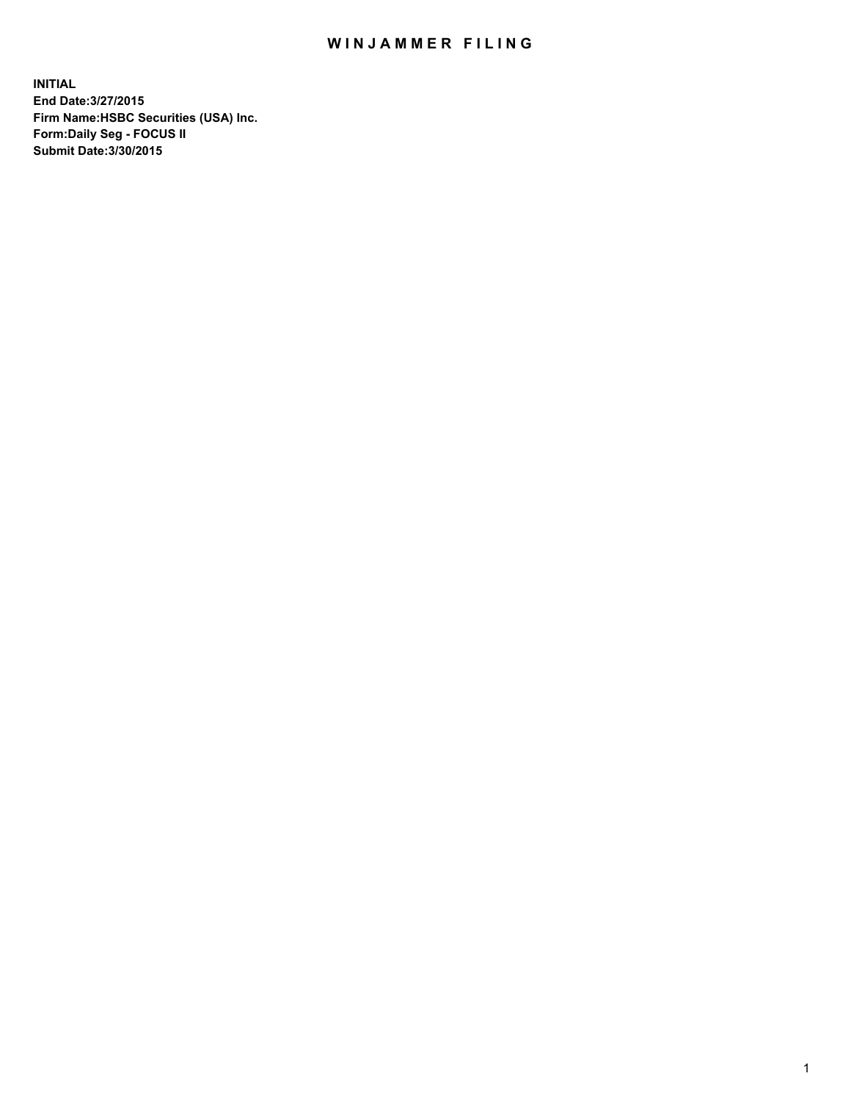## WIN JAMMER FILING

**INITIAL End Date:3/27/2015 Firm Name:HSBC Securities (USA) Inc. Form:Daily Seg - FOCUS II Submit Date:3/30/2015**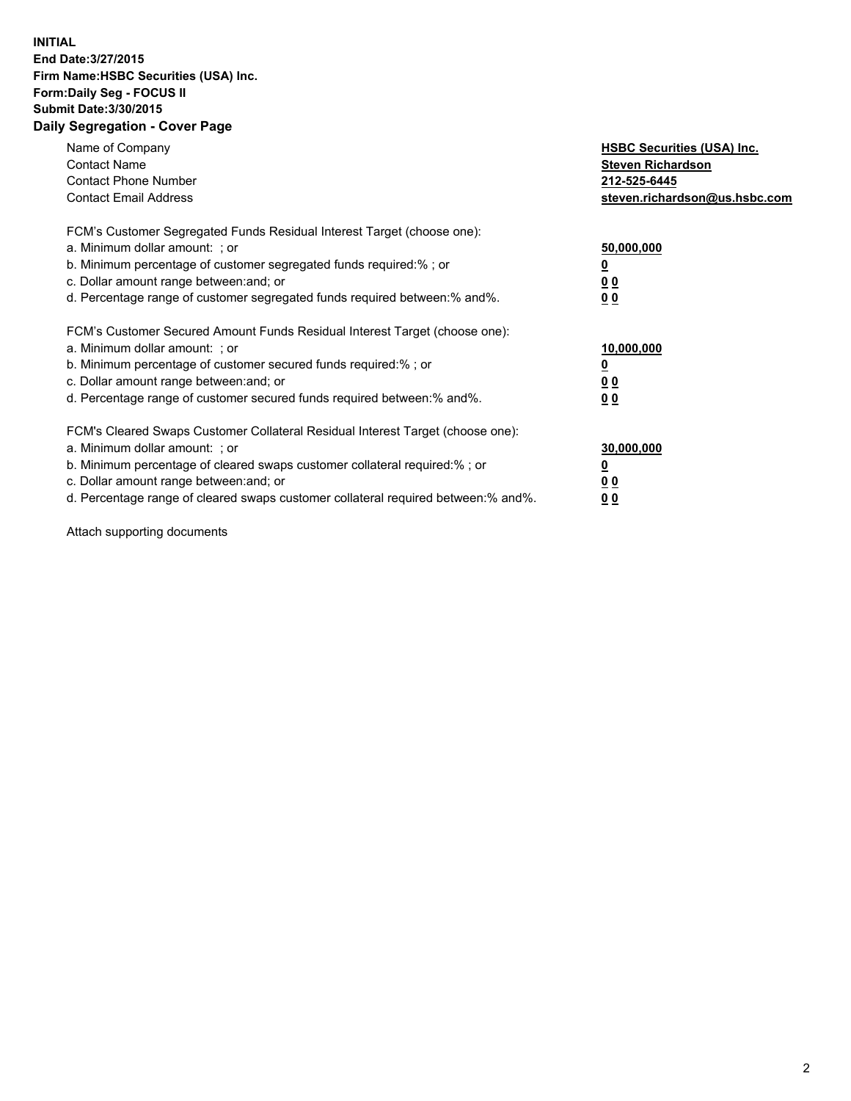## **INITIAL End Date:3/27/2015 Firm Name:HSBC Securities (USA) Inc. Form:Daily Seg - FOCUS II Submit Date:3/30/2015 Daily Segregation - Cover Page**

| Name of Company<br><b>Contact Name</b><br><b>Contact Phone Number</b><br><b>Contact Email Address</b>                                                                                                                                                                                                                          | <b>HSBC Securities (USA) Inc.</b><br><b>Steven Richardson</b><br>212-525-6445<br>steven.richardson@us.hsbc.com |
|--------------------------------------------------------------------------------------------------------------------------------------------------------------------------------------------------------------------------------------------------------------------------------------------------------------------------------|----------------------------------------------------------------------------------------------------------------|
| FCM's Customer Segregated Funds Residual Interest Target (choose one):<br>a. Minimum dollar amount: ; or<br>b. Minimum percentage of customer segregated funds required:%; or<br>c. Dollar amount range between: and; or<br>d. Percentage range of customer segregated funds required between: % and %.                        | 50,000,000<br>0 <sub>0</sub><br>0 <sub>0</sub>                                                                 |
| FCM's Customer Secured Amount Funds Residual Interest Target (choose one):<br>a. Minimum dollar amount: ; or<br>b. Minimum percentage of customer secured funds required:%; or<br>c. Dollar amount range between: and; or<br>d. Percentage range of customer secured funds required between:% and%.                            | 10,000,000<br><u>0</u><br>0 <sub>0</sub><br>0 <sub>0</sub>                                                     |
| FCM's Cleared Swaps Customer Collateral Residual Interest Target (choose one):<br>a. Minimum dollar amount: ; or<br>b. Minimum percentage of cleared swaps customer collateral required:% ; or<br>c. Dollar amount range between: and; or<br>d. Percentage range of cleared swaps customer collateral required between:% and%. | 30,000,000<br>00<br><u>00</u>                                                                                  |

Attach supporting documents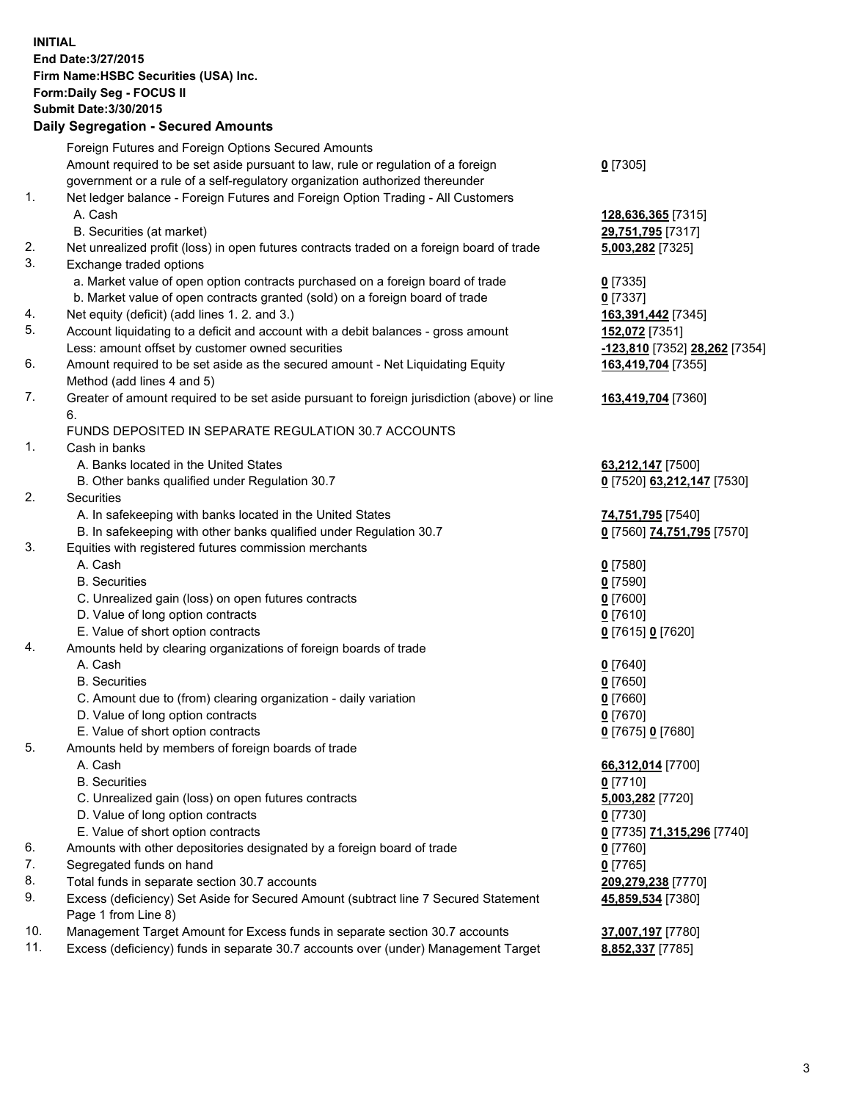**INITIAL End Date:3/27/2015 Firm Name:HSBC Securities (USA) Inc. Form:Daily Seg - FOCUS II Submit Date:3/30/2015 Daily Segregation - Secured Amounts**

Foreign Futures and Foreign Options Secured Amounts Amount required to be set aside pursuant to law, rule or regulation of a foreign government or a rule of a self-regulatory organization authorized thereunder **0** [7305] 1. Net ledger balance - Foreign Futures and Foreign Option Trading - All Customers A. Cash **128,636,365** [7315] B. Securities (at market) **29,751,795** [7317] 2. Net unrealized profit (loss) in open futures contracts traded on a foreign board of trade **5,003,282** [7325] 3. Exchange traded options a. Market value of open option contracts purchased on a foreign board of trade **0** [7335] b. Market value of open contracts granted (sold) on a foreign board of trade **0** [7337] 4. Net equity (deficit) (add lines 1. 2. and 3.) **163,391,442** [7345] 5. Account liquidating to a deficit and account with a debit balances - gross amount **152,072** [7351] Less: amount offset by customer owned securities **-123,810** [7352] **28,262** [7354] 6. Amount required to be set aside as the secured amount - Net Liquidating Equity Method (add lines 4 and 5) **163,419,704** [7355] 7. Greater of amount required to be set aside pursuant to foreign jurisdiction (above) or line 6. **163,419,704** [7360] FUNDS DEPOSITED IN SEPARATE REGULATION 30.7 ACCOUNTS 1. Cash in banks A. Banks located in the United States **63,212,147** [7500] B. Other banks qualified under Regulation 30.7 **0** [7520] **63,212,147** [7530] 2. Securities A. In safekeeping with banks located in the United States **74,751,795** [7540] B. In safekeeping with other banks qualified under Regulation 30.7 **0** [7560] **74,751,795** [7570] 3. Equities with registered futures commission merchants A. Cash **0** [7580] B. Securities **0** [7590] C. Unrealized gain (loss) on open futures contracts **0** [7600] D. Value of long option contracts **0** [7610] E. Value of short option contracts **0** [7615] **0** [7620] 4. Amounts held by clearing organizations of foreign boards of trade A. Cash **0** [7640] B. Securities **0** [7650] C. Amount due to (from) clearing organization - daily variation **0** [7660] D. Value of long option contracts **0** [7670] E. Value of short option contracts **0** [7675] **0** [7680] 5. Amounts held by members of foreign boards of trade A. Cash **66,312,014** [7700] B. Securities **0** [7710] C. Unrealized gain (loss) on open futures contracts **5,003,282** [7720] D. Value of long option contracts **0** [7730] E. Value of short option contracts **0** [7735] **71,315,296** [7740] 6. Amounts with other depositories designated by a foreign board of trade **0** [7760] 7. Segregated funds on hand **0** [7765] 8. Total funds in separate section 30.7 accounts **209,279,238** [7770] 9. Excess (deficiency) Set Aside for Secured Amount (subtract line 7 Secured Statement Page 1 from Line 8) **45,859,534** [7380] 10. Management Target Amount for Excess funds in separate section 30.7 accounts **37,007,197** [7780] 11. Excess (deficiency) funds in separate 30.7 accounts over (under) Management Target **8,852,337** [7785]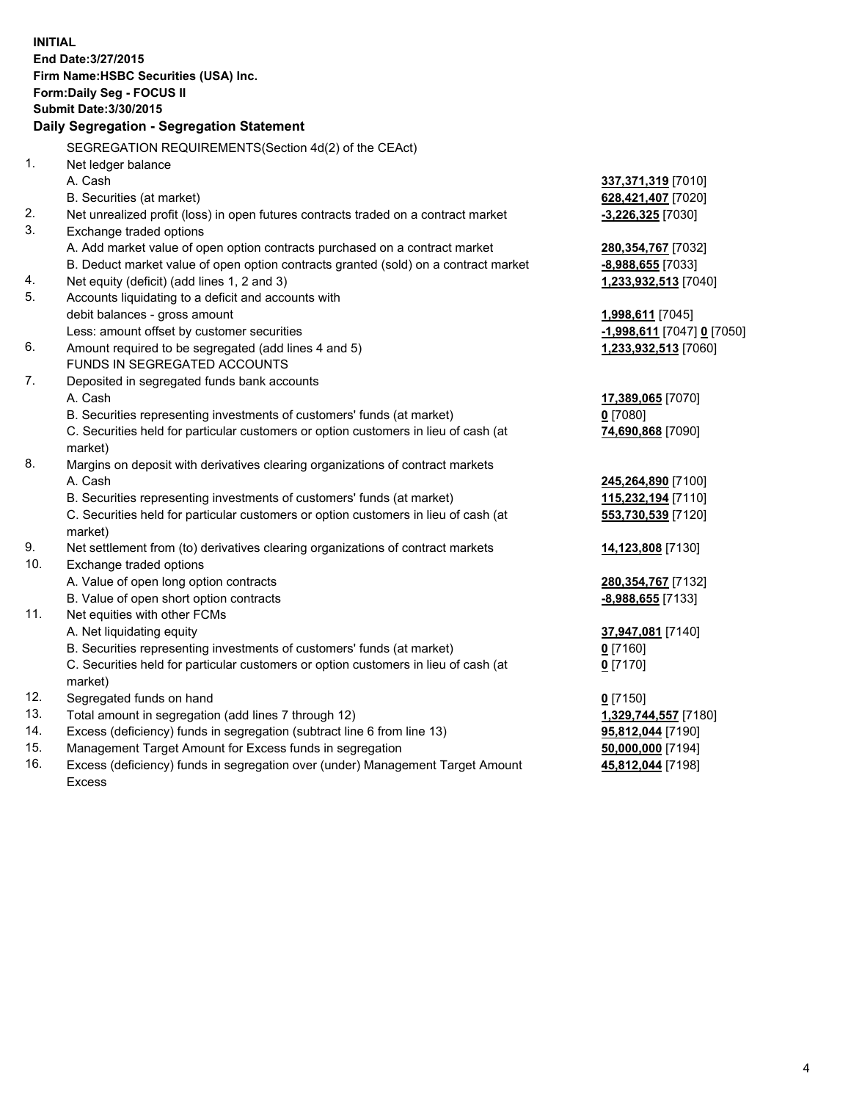| <b>INITIAL</b> | End Date: 3/27/2015<br>Firm Name: HSBC Securities (USA) Inc.<br>Form: Daily Seg - FOCUS II<br><b>Submit Date: 3/30/2015</b> |                            |
|----------------|-----------------------------------------------------------------------------------------------------------------------------|----------------------------|
|                | Daily Segregation - Segregation Statement                                                                                   |                            |
|                | SEGREGATION REQUIREMENTS(Section 4d(2) of the CEAct)                                                                        |                            |
| 1.             | Net ledger balance                                                                                                          |                            |
|                | A. Cash                                                                                                                     | 337, 371, 319 [7010]       |
|                | B. Securities (at market)                                                                                                   | 628,421,407 [7020]         |
| 2.             | Net unrealized profit (loss) in open futures contracts traded on a contract market                                          | $-3,226,325$ [7030]        |
| 3.             | Exchange traded options                                                                                                     |                            |
|                | A. Add market value of open option contracts purchased on a contract market                                                 | 280, 354, 767 [7032]       |
|                | B. Deduct market value of open option contracts granted (sold) on a contract market                                         | -8,988,655 [7033]          |
| 4.             | Net equity (deficit) (add lines 1, 2 and 3)                                                                                 | 1,233,932,513 [7040]       |
| 5.             | Accounts liquidating to a deficit and accounts with                                                                         |                            |
|                | debit balances - gross amount<br>Less: amount offset by customer securities                                                 | 1,998,611 [7045]           |
| 6.             | Amount required to be segregated (add lines 4 and 5)                                                                        | -1,998,611 [7047] 0 [7050] |
|                | FUNDS IN SEGREGATED ACCOUNTS                                                                                                | 1,233,932,513 [7060]       |
| 7.             | Deposited in segregated funds bank accounts                                                                                 |                            |
|                | A. Cash                                                                                                                     | 17,389,065 [7070]          |
|                | B. Securities representing investments of customers' funds (at market)                                                      | $0$ [7080]                 |
|                | C. Securities held for particular customers or option customers in lieu of cash (at                                         | 74,690,868 [7090]          |
|                | market)                                                                                                                     |                            |
| 8.             | Margins on deposit with derivatives clearing organizations of contract markets                                              |                            |
|                | A. Cash                                                                                                                     | 245,264,890 [7100]         |
|                | B. Securities representing investments of customers' funds (at market)                                                      | 115,232,194 [7110]         |
|                | C. Securities held for particular customers or option customers in lieu of cash (at                                         | 553,730,539 [7120]         |
|                | market)                                                                                                                     |                            |
| 9.             | Net settlement from (to) derivatives clearing organizations of contract markets                                             | 14,123,808 [7130]          |
| 10.            | Exchange traded options                                                                                                     |                            |
|                | A. Value of open long option contracts                                                                                      | 280, 354, 767 [7132]       |
|                | B. Value of open short option contracts                                                                                     | -8,988,655 [7133]          |
| 11.            | Net equities with other FCMs                                                                                                |                            |
|                | A. Net liquidating equity                                                                                                   | 37,947,081 [7140]          |
|                | B. Securities representing investments of customers' funds (at market)                                                      | 0 [7160]                   |
|                | C. Securities held for particular customers or option customers in lieu of cash (at                                         | $0$ [7170]                 |
|                | market)                                                                                                                     |                            |
| 12.            | Segregated funds on hand                                                                                                    | $0$ [7150]                 |
| 13.            | Total amount in segregation (add lines 7 through 12)                                                                        | 1,329,744,557 [7180]       |
| 14.            | Excess (deficiency) funds in segregation (subtract line 6 from line 13)                                                     | 95,812,044 [7190]          |
| 15.            | Management Target Amount for Excess funds in segregation                                                                    | 50,000,000 [7194]          |
| 16.            | Excess (deficiency) funds in segregation over (under) Management Target Amount                                              | 45,812,044 [7198]          |
|                | Excess                                                                                                                      |                            |